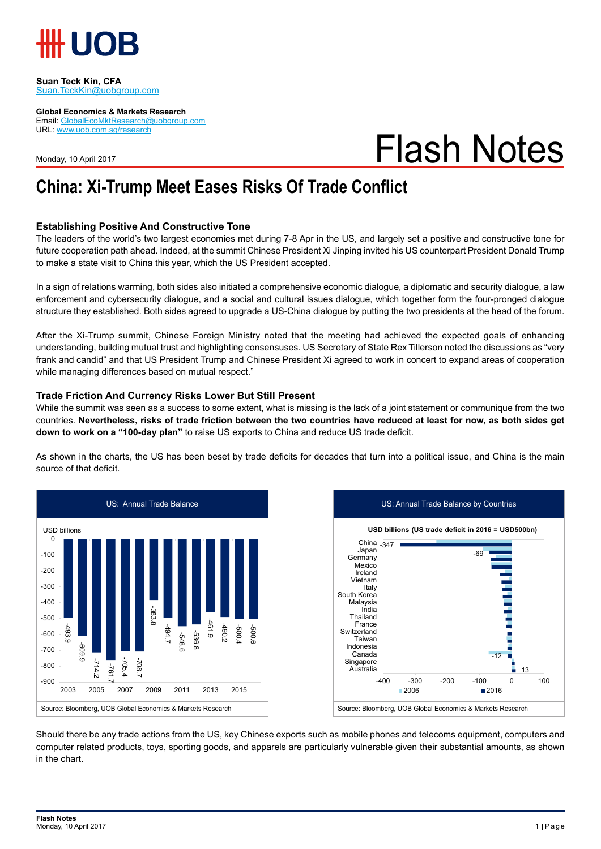

#### **Suan Teck Kin, CFA** Suan.TeckKin@uobgroup.com

**Global Economics & Markets Research**

Email: GlobalEcoMktResearch@uobgroup.com URL: www.uob.com.sg/research

Monday, 10 April 2017

# Flash Notes

### **China: Xi-Trump Meet Eases Risks Of Trade Conflict**

### **Establishing Positive And Constructive Tone**

The leaders of the world's two largest economies met during 7-8 Apr in the US, and largely set a positive and constructive tone for future cooperation path ahead. Indeed, at the summit Chinese President Xi Jinping invited his US counterpart President Donald Trump to make a state visit to China this year, which the US President accepted.

In a sign of relations warming, both sides also initiated a comprehensive economic dialogue, a diplomatic and security dialogue, a law enforcement and cybersecurity dialogue, and a social and cultural issues dialogue, which together form the four-pronged dialogue structure they established. Both sides agreed to upgrade a US-China dialogue by putting the two presidents at the head of the forum.

After the Xi-Trump summit, Chinese Foreign Ministry noted that the meeting had achieved the expected goals of enhancing understanding, building mutual trust and highlighting consensuses. US Secretary of State Rex Tillerson noted the discussions as "very frank and candid" and that US President Trump and Chinese President Xi agreed to work in concert to expand areas of cooperation while managing differences based on mutual respect."

#### **Trade Friction And Currency Risks Lower But Still Present**

While the summit was seen as a success to some extent, what is missing is the lack of a joint statement or communique from the two countries. **Nevertheless, risks of trade friction between the two countries have reduced at least for now, as both sides get down to work on a "100-day plan"** to raise US exports to China and reduce US trade deficit.

As shown in the charts, the US has been beset by trade deficits for decades that turn into a political issue, and China is the main source of that deficit.





Should there be any trade actions from the US, key Chinese exports such as mobile phones and telecoms equipment, computers and computer related products, toys, sporting goods, and apparels are particularly vulnerable given their substantial amounts, as shown in the chart.